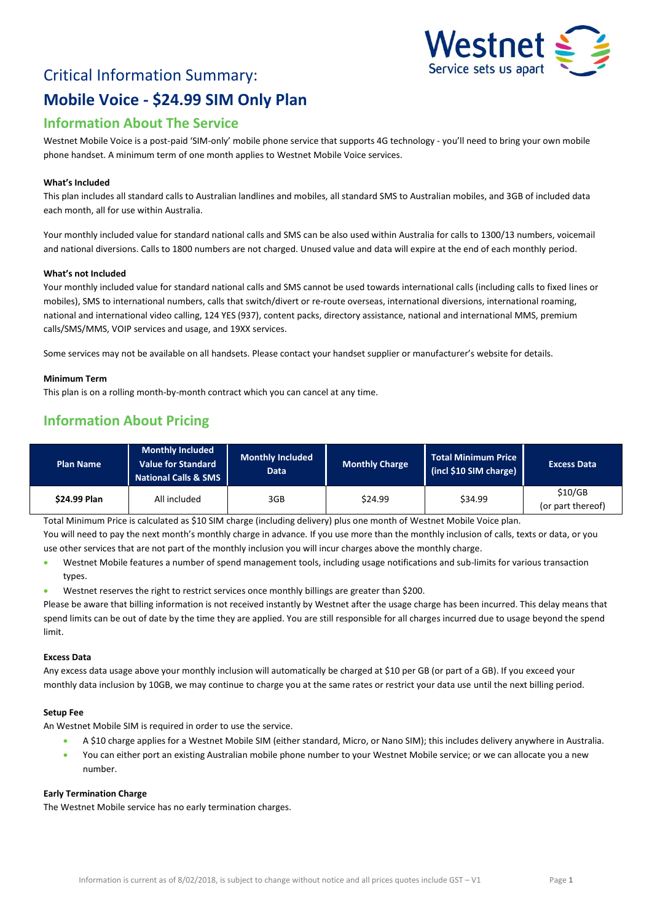

# Critical Information Summary: **Mobile Voice - \$24.99 SIM Only Plan**

## **Information About The Service**

Westnet Mobile Voice is a post-paid 'SIM-only' mobile phone service that supports 4G technology - you'll need to bring your own mobile phone handset. A minimum term of one month applies to Westnet Mobile Voice services.

#### **What's Included**

This plan includes all standard calls to Australian landlines and mobiles, all standard SMS to Australian mobiles, and 3GB of included data each month, all for use within Australia.

Your monthly included value for standard national calls and SMS can be also used within Australia for calls to 1300/13 numbers, voicemail and national diversions. Calls to 1800 numbers are not charged. Unused value and data will expire at the end of each monthly period.

#### **What's not Included**

Your monthly included value for standard national calls and SMS cannot be used towards international calls (including calls to fixed lines or mobiles), SMS to international numbers, calls that switch/divert or re-route overseas, international diversions, international roaming, national and international video calling, 124 YES (937), content packs, directory assistance, national and international MMS, premium calls/SMS/MMS, VOIP services and usage, and 19XX services.

Some services may not be available on all handsets. Please contact your handset supplier or manufacturer's website for details.

#### **Minimum Term**

This plan is on a rolling month-by-month contract which you can cancel at any time.

## **Information About Pricing**

| <b>Plan Name</b> | <b>Monthly Included</b><br>Value for Standard<br><b>National Calls &amp; SMS</b> | <b>Monthly Included</b><br>Data | <b>Monthly Charge</b> | <b>Total Minimum Price</b><br>(incl \$10 SIM charge) | <b>Excess Data</b>           |
|------------------|----------------------------------------------------------------------------------|---------------------------------|-----------------------|------------------------------------------------------|------------------------------|
| \$24.99 Plan     | All included                                                                     | 3GB                             | \$24.99               | \$34.99                                              | \$10/GB<br>(or part thereof) |

Total Minimum Price is calculated as \$10 SIM charge (including delivery) plus one month of Westnet Mobile Voice plan.

You will need to pay the next month's monthly charge in advance. If you use more than the monthly inclusion of calls, texts or data, or you use other services that are not part of the monthly inclusion you will incur charges above the monthly charge.

- Westnet Mobile features a number of spend management tools, including usage notifications and sub-limits for various transaction types.
- Westnet reserves the right to restrict services once monthly billings are greater than \$200.

Please be aware that billing information is not received instantly by Westnet after the usage charge has been incurred. This delay means that spend limits can be out of date by the time they are applied. You are still responsible for all charges incurred due to usage beyond the spend limit.

#### **Excess Data**

Any excess data usage above your monthly inclusion will automatically be charged at \$10 per GB (or part of a GB). If you exceed your monthly data inclusion by 10GB, we may continue to charge you at the same rates or restrict your data use until the next billing period.

#### **Setup Fee**

An Westnet Mobile SIM is required in order to use the service.

- A \$10 charge applies for a Westnet Mobile SIM (either standard, Micro, or Nano SIM); this includes delivery anywhere in Australia.
- You can either port an existing Australian mobile phone number to your Westnet Mobile service; or we can allocate you a new number.

#### **Early Termination Charge**

The Westnet Mobile service has no early termination charges.